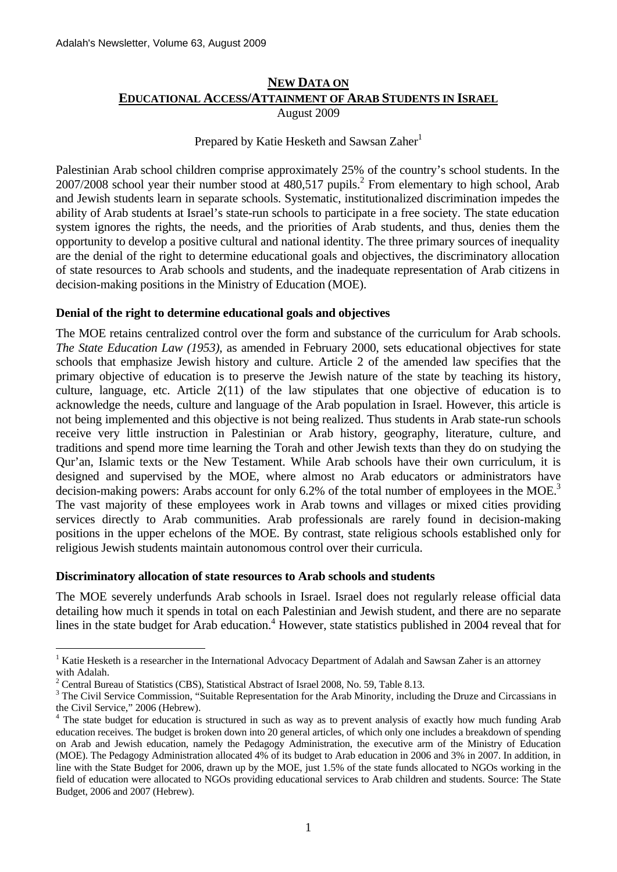# **NEW DATA ON EDUCATIONAL ACCESS/ATTAINMENT OF ARAB STUDENTS IN ISRAEL**

August 2009

Prepared by Katie Hesketh and Sawsan Zaher<sup>1</sup>

Palestinian Arab school children comprise approximately 25% of the country's school students. In the 2007/2008 school year their number stood at 480,517 pupils.<sup>2</sup> From elementary to high school, Arab and Jewish students learn in separate schools. Systematic, institutionalized discrimination impedes the ability of Arab students at Israel's state-run schools to participate in a free society. The state education system ignores the rights, the needs, and the priorities of Arab students, and thus, denies them the opportunity to develop a positive cultural and national identity. The three primary sources of inequality are the denial of the right to determine educational goals and objectives, the discriminatory allocation of state resources to Arab schools and students, and the inadequate representation of Arab citizens in decision-making positions in the Ministry of Education (MOE).

# **Denial of the right to determine educational goals and objectives**

The MOE retains centralized control over the form and substance of the curriculum for Arab schools. *The State Education Law (1953)*, as amended in February 2000, sets educational objectives for state schools that emphasize Jewish history and culture. Article 2 of the amended law specifies that the primary objective of education is to preserve the Jewish nature of the state by teaching its history, culture, language, etc. Article 2(11) of the law stipulates that one objective of education is to acknowledge the needs, culture and language of the Arab population in Israel. However, this article is not being implemented and this objective is not being realized. Thus students in Arab state-run schools receive very little instruction in Palestinian or Arab history, geography, literature, culture, and traditions and spend more time learning the Torah and other Jewish texts than they do on studying the Qur'an, Islamic texts or the New Testament. While Arab schools have their own curriculum, it is designed and supervised by the MOE, where almost no Arab educators or administrators have decision-making powers: Arabs account for only 6.2% of the total number of employees in the MOE.<sup>3</sup> The vast majority of these employees work in Arab towns and villages or mixed cities providing services directly to Arab communities. Arab professionals are rarely found in decision-making positions in the upper echelons of the MOE. By contrast, state religious schools established only for religious Jewish students maintain autonomous control over their curricula.

# **Discriminatory allocation of state resources to Arab schools and students**

The MOE severely underfunds Arab schools in Israel. Israel does not regularly release official data detailing how much it spends in total on each Palestinian and Jewish student, and there are no separate lines in the state budget for Arab education.<sup>4</sup> However, state statistics published in 2004 reveal that for

1

<sup>&</sup>lt;sup>1</sup> Katie Hesketh is a researcher in the International Advocacy Department of Adalah and Sawsan Zaher is an attorney with Adalah.

<sup>&</sup>lt;sup>2</sup> Central Bureau of Statistics (CBS), Statistical Abstract of Israel 2008, No. 59, Table 8.13.

<sup>&</sup>lt;sup>3</sup> The Civil Service Commission, "Suitable Representation for the Arab Minority, including the Druze and Circassians in the Civil Service," 2006 (Hebrew).

<sup>&</sup>lt;sup>4</sup> The state budget for education is structured in such as way as to prevent analysis of exactly how much funding Arab education receives. The budget is broken down into 20 general articles, of which only one includes a breakdown of spending on Arab and Jewish education, namely the Pedagogy Administration, the executive arm of the Ministry of Education (MOE). The Pedagogy Administration allocated 4% of its budget to Arab education in 2006 and 3% in 2007. In addition, in line with the State Budget for 2006, drawn up by the MOE, just 1.5% of the state funds allocated to NGOs working in the field of education were allocated to NGOs providing educational services to Arab children and students. Source: The State Budget, 2006 and 2007 (Hebrew).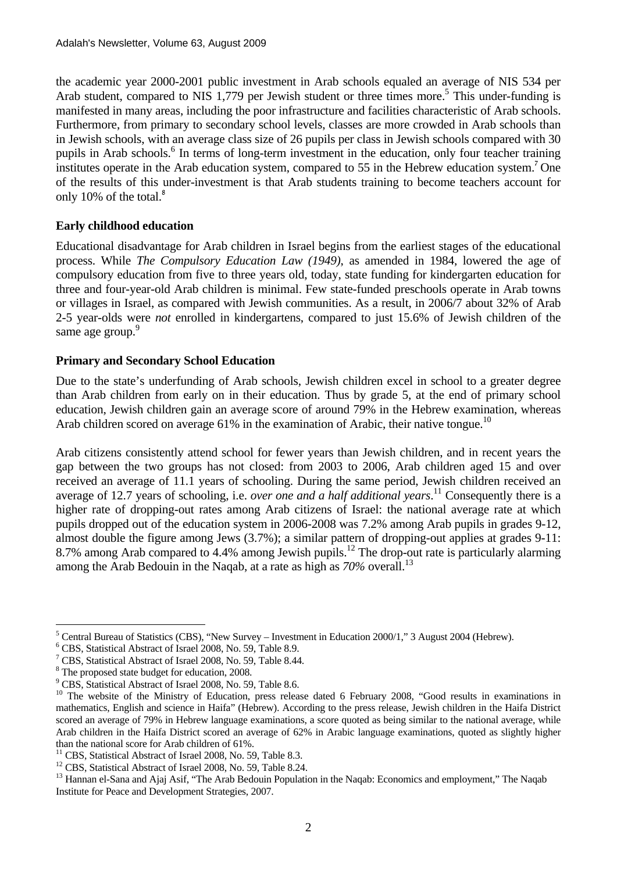the academic year 2000-2001 public investment in Arab schools equaled an average of NIS 534 per Arab student, compared to NIS 1,779 per Jewish student or three times more.<sup>5</sup> This under-funding is manifested in many areas, including the poor infrastructure and facilities characteristic of Arab schools. Furthermore, from primary to secondary school levels, classes are more crowded in Arab schools than in Jewish schools, with an average class size of 26 pupils per class in Jewish schools compared with 30 pupils in Arab schools.<sup>6</sup> In terms of long-term investment in the education, only four teacher training institutes operate in the Arab education system, compared to 55 in the Hebrew education system.<sup>7</sup> One of the results of this under-investment is that Arab students training to become teachers account for only 10% of the total. $8$ 

# **Early childhood education**

Educational disadvantage for Arab children in Israel begins from the earliest stages of the educational process. While *The Compulsory Education Law (1949)*, as amended in 1984, lowered the age of compulsory education from five to three years old, today, state funding for kindergarten education for three and four-year-old Arab children is minimal. Few state-funded preschools operate in Arab towns or villages in Israel, as compared with Jewish communities. As a result, in 2006/7 about 32% of Arab 2-5 year-olds were *not* enrolled in kindergartens, compared to just 15.6% of Jewish children of the same age group.<sup>9</sup>

### **Primary and Secondary School Education**

Due to the state's underfunding of Arab schools, Jewish children excel in school to a greater degree than Arab children from early on in their education. Thus by grade 5, at the end of primary school education, Jewish children gain an average score of around 79% in the Hebrew examination, whereas Arab children scored on average  $61\%$  in the examination of Arabic, their native tongue.<sup>10</sup>

Arab citizens consistently attend school for fewer years than Jewish children, and in recent years the gap between the two groups has not closed: from 2003 to 2006, Arab children aged 15 and over received an average of 11.1 years of schooling. During the same period, Jewish children received an average of 12.7 years of schooling, i.e. *over one and a half additional years*. 11 Consequently there is a higher rate of dropping-out rates among Arab citizens of Israel: the national average rate at which pupils dropped out of the education system in 2006-2008 was 7.2% among Arab pupils in grades 9-12, almost double the figure among Jews (3.7%); a similar pattern of dropping-out applies at grades 9-11: 8.7% among Arab compared to 4.4% among Jewish pupils.<sup>12</sup> The drop-out rate is particularly alarming among the Arab Bedouin in the Naqab, at a rate as high as  $70\%$  overall.<sup>13</sup>

<sup>&</sup>lt;u>.</u> <sup>5</sup> Central Bureau of Statistics (CBS), "New Survey – Investment in Education 2000/1," 3 August 2004 (Hebrew).

<sup>6</sup> CBS, Statistical Abstract of Israel 2008, No. 59, Table 8.9.

<sup>7</sup> CBS, Statistical Abstract of Israel 2008, No. 59, Table 8.44.

<sup>&</sup>lt;sup>8</sup> The proposed state budget for education, 2008.

<sup>9</sup> CBS, Statistical Abstract of Israel 2008, No. 59, Table 8.6.

 $10$  The website of the Ministry of Education, press release dated 6 February 2008, "Good results in examinations in mathematics, English and science in Haifa" (Hebrew). According to the press release, Jewish children in the Haifa District scored an average of 79% in Hebrew language examinations, a score quoted as being similar to the national average, while Arab children in the Haifa District scored an average of 62% in Arabic language examinations, quoted as slightly higher than the national score for Arab children of 61%.

<sup>&</sup>lt;sup>11</sup> CBS, Statistical Abstract of Israel 2008, No. 59, Table 8.3.

<sup>&</sup>lt;sup>12</sup> CBS. Statistical Abstract of Israel 2008, No. 59, Table 8.24.

<sup>&</sup>lt;sup>13</sup> Hannan el-Sana and Ajaj Asif, "The Arab Bedouin Population in the Naqab: Economics and employment," The Naqab Institute for Peace and Development Strategies, 2007.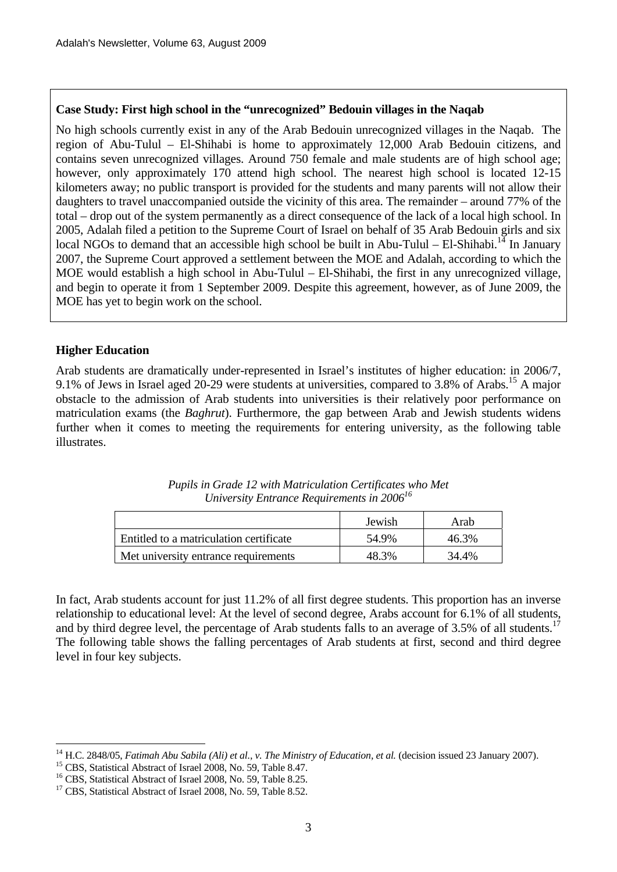#### **Case Study: First high school in the "unrecognized" Bedouin villages in the Naqab**

No high schools currently exist in any of the Arab Bedouin unrecognized villages in the Naqab. The region of Abu-Tulul – El-Shihabi is home to approximately 12,000 Arab Bedouin citizens, and contains seven unrecognized villages. Around 750 female and male students are of high school age; however, only approximately 170 attend high school. The nearest high school is located 12-15 kilometers away; no public transport is provided for the students and many parents will not allow their daughters to travel unaccompanied outside the vicinity of this area. The remainder – around 77% of the total – drop out of the system permanently as a direct consequence of the lack of a local high school. In 2005, Adalah filed a petition to the Supreme Court of Israel on behalf of 35 Arab Bedouin girls and six local NGOs to demand that an accessible high school be built in Abu-Tulul – El-Shihabi.<sup>14</sup> In January 2007, the Supreme Court approved a settlement between the MOE and Adalah, according to which the MOE would establish a high school in Abu-Tulul – El-Shihabi, the first in any unrecognized village, and begin to operate it from 1 September 2009. Despite this agreement, however, as of June 2009, the MOE has yet to begin work on the school.

#### **Higher Education**

1

Arab students are dramatically under-represented in Israel's institutes of higher education: in 2006/7, 9.1% of Jews in Israel aged 20-29 were students at universities, compared to 3.8% of Arabs.15 A major obstacle to the admission of Arab students into universities is their relatively poor performance on matriculation exams (the *Baghrut*). Furthermore, the gap between Arab and Jewish students widens further when it comes to meeting the requirements for entering university, as the following table illustrates.

|                                         | Jewish | Arab  |
|-----------------------------------------|--------|-------|
| Entitled to a matriculation certificate | 54.9%  | 46 3% |
| Met university entrance requirements    | 18 3%  | 34.4% |

| Pupils in Grade 12 with Matriculation Certificates who Met |  |
|------------------------------------------------------------|--|
| University Entrance Requirements in $2006^{16}$            |  |

In fact, Arab students account for just 11.2% of all first degree students. This proportion has an inverse relationship to educational level: At the level of second degree, Arabs account for 6.1% of all students, and by third degree level, the percentage of Arab students falls to an average of 3.5% of all students.<sup>17</sup> The following table shows the falling percentages of Arab students at first, second and third degree level in four key subjects.

<sup>&</sup>lt;sup>14</sup> H.C. 2848/05, *Fatimah Abu Sabila (Ali) et al., v. The Ministry of Education, et al.* (decision issued 23 January 2007).<br><sup>15</sup> CBS. Statistical Abstract of Israel 2008, No. 59, Table 8.47.

<sup>&</sup>lt;sup>16</sup> CBS, Statistical Abstract of Israel 2008, No. 59, Table 8.25.

<sup>&</sup>lt;sup>17</sup> CBS, Statistical Abstract of Israel 2008, No. 59, Table 8.52.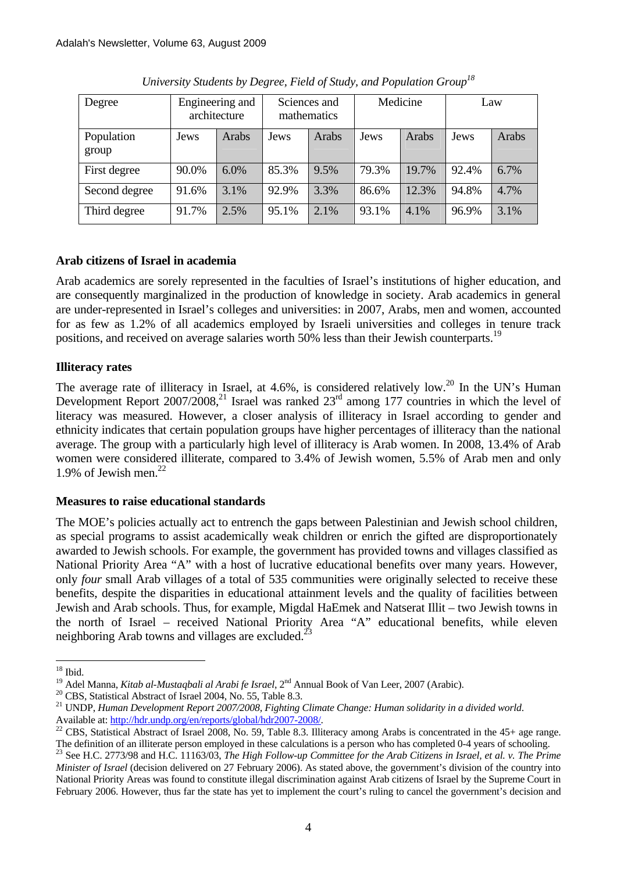| Degree              |       | Engineering and<br>architecture | Sciences and<br>mathematics |       | Medicine |       | Law   |       |
|---------------------|-------|---------------------------------|-----------------------------|-------|----------|-------|-------|-------|
| Population<br>group | Jews  | Arabs                           | Jews                        | Arabs | Jews     | Arabs | Jews  | Arabs |
| First degree        | 90.0% | $6.0\%$                         | 85.3%                       | 9.5%  | 79.3%    | 19.7% | 92.4% | 6.7%  |
| Second degree       | 91.6% | 3.1%                            | 92.9%                       | 3.3%  | 86.6%    | 12.3% | 94.8% | 4.7%  |
| Third degree        | 91.7% | 2.5%                            | 95.1%                       | 2.1%  | 93.1%    | 4.1%  | 96.9% | 3.1%  |

*University Students by Degree, Field of Study, and Population Group18*

# **Arab citizens of Israel in academia**

Arab academics are sorely represented in the faculties of Israel's institutions of higher education, and are consequently marginalized in the production of knowledge in society. Arab academics in general are under-represented in Israel's colleges and universities: in 2007, Arabs, men and women, accounted for as few as 1.2% of all academics employed by Israeli universities and colleges in tenure track positions, and received on average salaries worth 50% less than their Jewish counterparts.<sup>19</sup>

# **Illiteracy rates**

The average rate of illiteracy in Israel, at 4.6%, is considered relatively low.<sup>20</sup> In the UN's Human Development Report  $2007/2008$ <sup>21</sup>, Israel was ranked  $23<sup>rd</sup>$  among 177 countries in which the level of literacy was measured. However, a closer analysis of illiteracy in Israel according to gender and ethnicity indicates that certain population groups have higher percentages of illiteracy than the national average. The group with a particularly high level of illiteracy is Arab women. In 2008, 13.4% of Arab women were considered illiterate, compared to 3.4% of Jewish women, 5.5% of Arab men and only 1.9% of Jewish men. $^{22}$ 

# **Measures to raise educational standards**

The MOE's policies actually act to entrench the gaps between Palestinian and Jewish school children, as special programs to assist academically weak children or enrich the gifted are disproportionately awarded to Jewish schools. For example, the government has provided towns and villages classified as National Priority Area "A" with a host of lucrative educational benefits over many years. However, only *four* small Arab villages of a total of 535 communities were originally selected to receive these benefits, despite the disparities in educational attainment levels and the quality of facilities between Jewish and Arab schools. Thus, for example, Migdal HaEmek and Natserat Illit – two Jewish towns in the north of Israel – received National Priority Area "A" educational benefits, while eleven neighboring Arab towns and villages are excluded.<sup>23</sup>

<sup>&</sup>lt;u>.</u>  $18$  Ibid.

<sup>&</sup>lt;sup>19</sup> Adel Manna, *Kitab al-Mustaqbali al Arabi fe Israel*, 2<sup>nd</sup> Annual Book of Van Leer, 2007 (Arabic).<br><sup>20</sup> CBS, Statistical Abstract of Israel 2004, No. 55, Table 8.3.

<sup>&</sup>lt;sup>21</sup> UNDP, *Human Development Report 2007/2008, Fighting Climate Change: Human solidarity in a divided world.* 

Available at: http://hdr.undp.org/en/reports/global/hdr2007-2008/.<br><sup>22</sup> CBS, Statistical Abstract of Israel 2008, No. 59, Table 8.3. Illiteracy among Arabs is concentrated in the 45+ age range. The definition of an illiterate person employed in these calculations is a person who has completed 0-4 years of schooling.<br><sup>23</sup> See H.C. 2773/98 and H.C. 11163/03, *The High Follow-up Committee for the Arab Citizens in Is* 

*Minister of Israel* (decision delivered on 27 February 2006). As stated above, the government's division of the country into National Priority Areas was found to constitute illegal discrimination against Arab citizens of Israel by the Supreme Court in February 2006. However, thus far the state has yet to implement the court's ruling to cancel the government's decision and